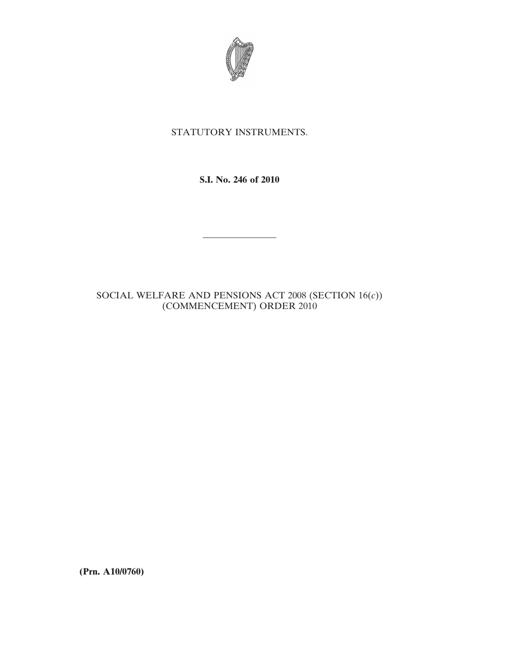

## STATUTORY INSTRUMENTS.

**S.I. No. 246 of 2010**

————————

## SOCIAL WELFARE AND PENSIONS ACT 2008 (SECTION 16(*c*)) (COMMENCEMENT) ORDER 2010

**(Prn. A10/0760)**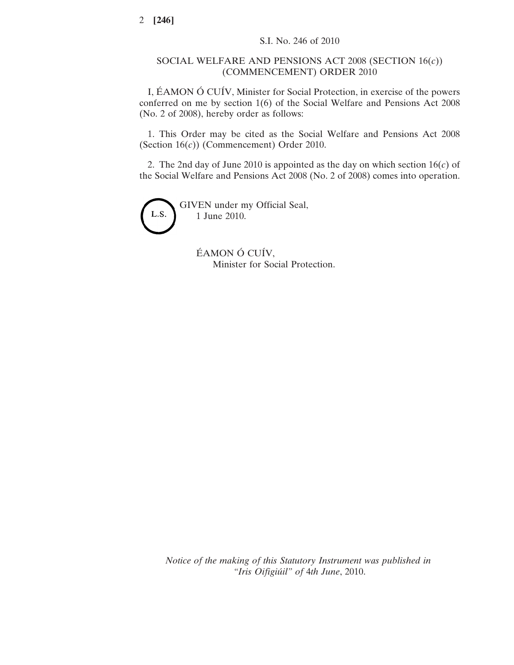## SOCIAL WELFARE AND PENSIONS ACT 2008 (SECTION 16(*c*)) (COMMENCEMENT) ORDER 2010

I, ÉAMON Ó CUÍV, Minister for Social Protection, in exercise of the powers conferred on me by section 1(6) of the Social Welfare and Pensions Act 2008 (No. 2 of 2008), hereby order as follows:

1. This Order may be cited as the Social Welfare and Pensions Act 2008 (Section 16(*c*)) (Commencement) Order 2010.

2. The 2nd day of June 2010 is appointed as the day on which section 16(*c*) of the Social Welfare and Pensions Act 2008 (No. 2 of 2008) comes into operation.



GIVEN under my Official Seal, 1 June 2010.

> ÉAMON Ó CUÍV, Minister for Social Protection.

*Notice of the making of this Statutory Instrument was published in "Iris Oifigiúil" of* 4*th June*, 2010.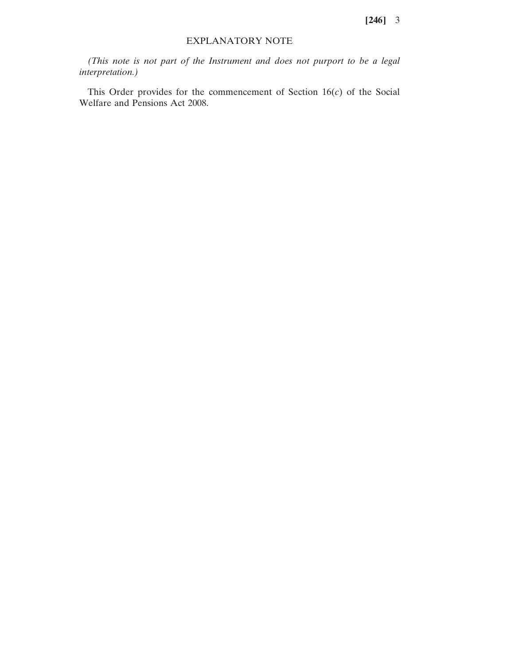**[246]** 3

## EXPLANATORY NOTE

*(This note is not part of the Instrument and does not purport to be a legal interpretation.)*

This Order provides for the commencement of Section 16(*c*) of the Social Welfare and Pensions Act 2008.